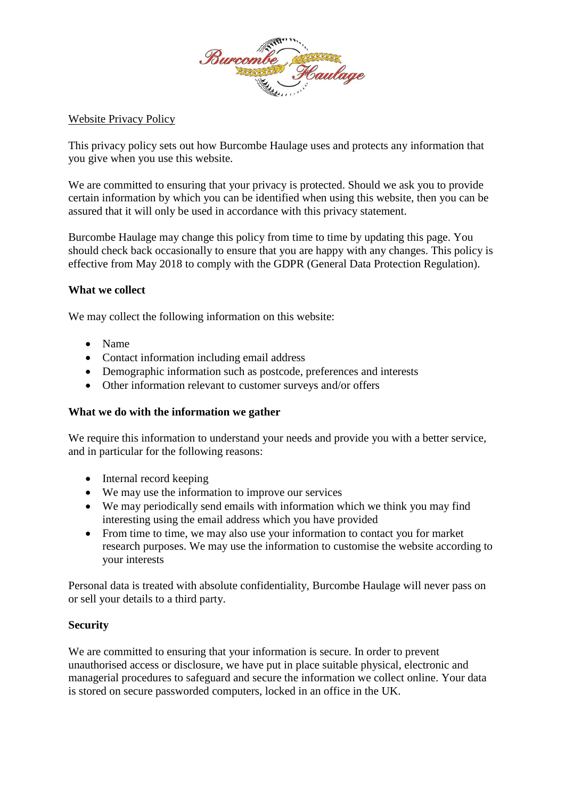

Website Privacy Policy

This privacy policy sets out how Burcombe Haulage uses and protects any information that you give when you use this website.

We are committed to ensuring that your privacy is protected. Should we ask you to provide certain information by which you can be identified when using this website, then you can be assured that it will only be used in accordance with this privacy statement.

Burcombe Haulage may change this policy from time to time by updating this page. You should check back occasionally to ensure that you are happy with any changes. This policy is effective from May 2018 to comply with the GDPR (General Data Protection Regulation).

## **What we collect**

We may collect the following information on this website:

- Name
- Contact information including email address
- Demographic information such as postcode, preferences and interests
- Other information relevant to customer surveys and/or offers

## **What we do with the information we gather**

We require this information to understand your needs and provide you with a better service, and in particular for the following reasons:

- Internal record keeping
- We may use the information to improve our services
- We may periodically send emails with information which we think you may find interesting using the email address which you have provided
- From time to time, we may also use your information to contact you for market research purposes. We may use the information to customise the website according to your interests

Personal data is treated with absolute confidentiality, Burcombe Haulage will never pass on or sell your details to a third party.

## **Security**

We are committed to ensuring that your information is secure. In order to prevent unauthorised access or disclosure, we have put in place suitable physical, electronic and managerial procedures to safeguard and secure the information we collect online. Your data is stored on secure passworded computers, locked in an office in the UK.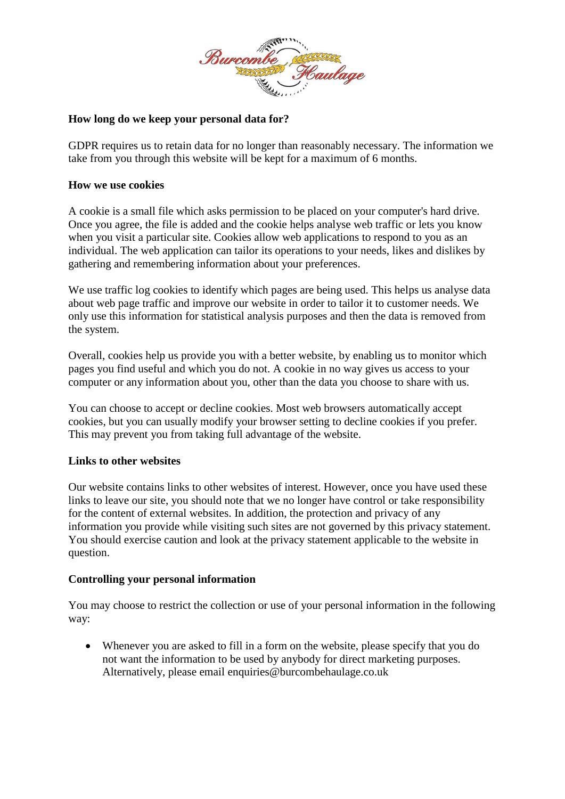

# **How long do we keep your personal data for?**

GDPR requires us to retain data for no longer than reasonably necessary. The information we take from you through this website will be kept for a maximum of 6 months.

## **How we use cookies**

A cookie is a small file which asks permission to be placed on your computer's hard drive. Once you agree, the file is added and the cookie helps analyse web traffic or lets you know when you visit a particular site. Cookies allow web applications to respond to you as an individual. The web application can tailor its operations to your needs, likes and dislikes by gathering and remembering information about your preferences.

We use traffic log cookies to identify which pages are being used. This helps us analyse data about web page traffic and improve our website in order to tailor it to customer needs. We only use this information for statistical analysis purposes and then the data is removed from the system.

Overall, cookies help us provide you with a better website, by enabling us to monitor which pages you find useful and which you do not. A cookie in no way gives us access to your computer or any information about you, other than the data you choose to share with us.

You can choose to accept or decline cookies. Most web browsers automatically accept cookies, but you can usually modify your browser setting to decline cookies if you prefer. This may prevent you from taking full advantage of the website.

## **Links to other websites**

Our website contains links to other websites of interest. However, once you have used these links to leave our site, you should note that we no longer have control or take responsibility for the content of external websites. In addition, the protection and privacy of any information you provide while visiting such sites are not governed by this privacy statement. You should exercise caution and look at the privacy statement applicable to the website in question.

## **Controlling your personal information**

You may choose to restrict the collection or use of your personal information in the following way:

• Whenever you are asked to fill in a form on the website, please specify that you do not want the information to be used by anybody for direct marketing purposes. Alternatively, please email enquiries@burcombehaulage.co.uk